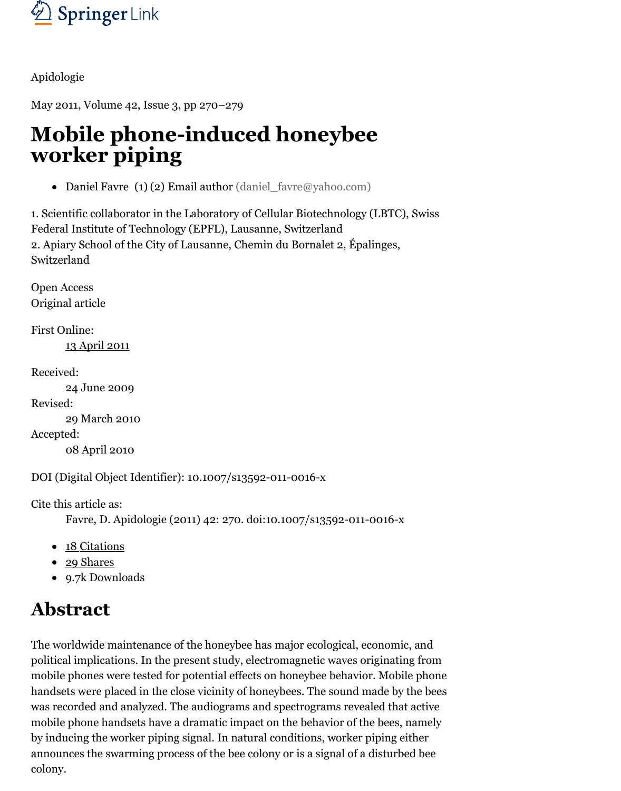$\mathbb{R}$  2011,  $\mathbb{R}$  and  $\mathbb{R}$   $\mathbb{R}$ ,  $\mathbb{R}$   $\mathbb{R}$   $\mathbb{R}$   $\mathbb{R}$   $\mathbb{R}$   $\mathbb{R}$   $\mathbb{R}$   $\mathbb{R}$   $\mathbb{R}$   $\mathbb{R}$   $\mathbb{R}$   $\mathbb{R}$   $\mathbb{R}$   $\mathbb{R}$   $\mathbb{R}$   $\mathbb{R}$   $\mathbb{R}$   $\mathbb{R}$   $\mathbb{R}$   $\math$ 

# **[Mobile phone-induced honeybee](http://link.springer.com/) worker piping**

• [Dan](http://link.springer.com/journal/13592)iel Favre (1) (2) Email author (daniel\_favre@yahoo.com)

1. Scientific collaborat[or in the](http://link.springer.com/journal/13592/42/3/page/1) Laboratory of Cellular Biotechnology (LBTC), Swiss Federal Institute of Technology (EPFL), Lausanne, Switzerland 2. Apiary School of the City of Lausanne, Chemin du Bornalet 2, Épalinges, Switzerland

Open Access Original article

First Online: 13 April 2011

Received:

24 June 2009

Revised:

29 March 2010

Accepted:

[08 April 2010](http://link.springer.com/article/10.1007/s13592-011-0016-x#article-dates-history)

DOI (Digital Object Identifier): 10.1007/s13592-011-0016-x

Cite this article as:

Favre, D. Apidologie (2011) 42: 270. doi:10.1007/s13592-011-0016-x

- 18 Citations
- 29 Shares
- 9.7k Downloads

# **Abstract**

The worldwide maintenance of the honeybee has major ecological, economic, and politic[al implication](http://citations.springer.com/item?doi=10.1007/s13592-011-0016-x)s. In the present study, electromagnetic waves originating from mobile [phones we](http://www.altmetric.com/details.php?citation_id=1378532&domain=link.springer.com)re tested for potential effects on honeybee behavior. Mobile phone handsets were placed in the close vicinity of honeybees. The sound made by the bees was recorded and analyzed. The audiograms and spectrograms revealed that active mobile phone handsets have a dramatic impact on the behavior of the bees, namely by inducing the worker piping signal. In natural conditions, worker piping either announces the swarming process of the bee colony or is a signal of a disturbed bee colony.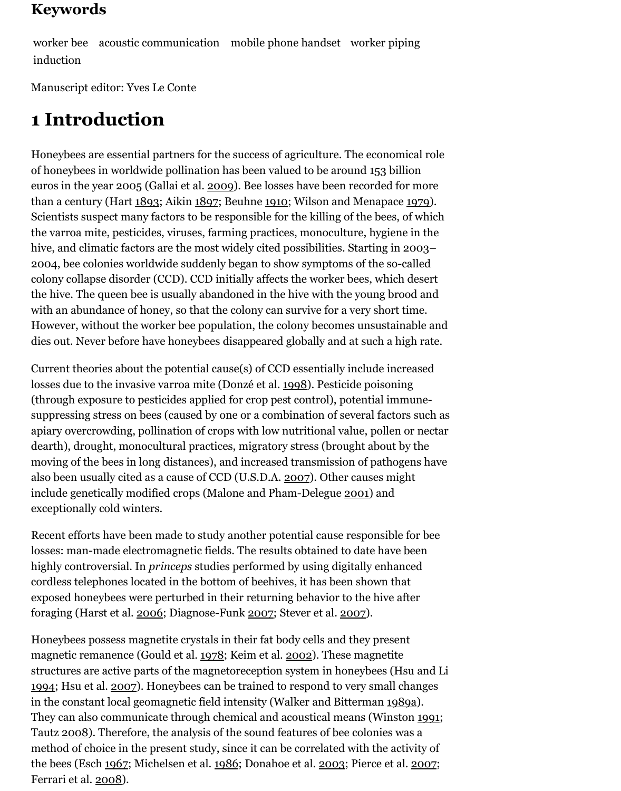## **1 Introduction**

Honeybees are essential partners for the success of agriculture. The economical role of honeybees in worldwide pollination has been valued to be around 153 billion euros in the year 2005 (Gallai et al. 2009). Bee losses have been recorded for more than a century (Hart 1893; Aikin 1897; Beuhne 1910; Wilson and Menapace 1979). Scientists suspect many factors to be responsible for the killing of the bees, of which the varroa mite, pesticides, viruses, farming practices, monoculture, hygiene in the hive, and climatic factors are the most widely cited possibilities. Starting in 2003– 2004, bee colonies worldwide suddenly began to show symptoms of the so-called colony collapse disorder (CCD). CCD initially affects the worker bees, which desert the hive. The queen bee is usually a[bando](http://link.springer.com/article/10.1007/s13592-011-0016-x#CR11)ned in the hive with the young brood and with an abundance o[f hone](http://link.springer.com/article/10.1007/s13592-011-0016-x#CR14)y, so t[hat th](http://link.springer.com/article/10.1007/s13592-011-0016-x#CR1)e colony [can s](http://link.springer.com/article/10.1007/s13592-011-0016-x#CR3)urvive for a very short t[ime.](http://link.springer.com/article/10.1007/s13592-011-0016-x#CR36) However, without the worker bee population, the colony becomes unsustainable and dies out. Never before have honeybees disappeared globally and at such a high rate.

Current theories about the potential cause(s) of CCD essentially include increased losses due to the invasive varroa mite (Donzé et al. 1998). Pesticide poisoning (through exposure to pesticides applied for crop pest control), potential immunesuppressing stress on bees (caused by one or a combination of several factors such as apiary overcrowding, pollination of crops with low nutritional value, pollen or nectar dearth), drought, monocultural practices, migratory stress (brought about by the moving of the bees in long distances), and increased transmission of pathogens have also been usually cited as a cause of CCD (U.S.D.A. 2007). Other causes might include genetically modified crops (Malone and Ph[am-D](http://link.springer.com/article/10.1007/s13592-011-0016-x#CR7)elegue 2001) and exceptionally cold winters.

Recent efforts have been made to study another potential cause responsible for bee losses: man-made electromagnetic fields. The results obtained to date have been highly controversial. In *princeps* studies performed by using digitally enhanced cordless telephones located in the bottom of beehi[ves, it h](http://link.springer.com/article/10.1007/s13592-011-0016-x#CR32)as been shown that exposed honeybees were perturbed in their returning behavior [to the](http://link.springer.com/article/10.1007/s13592-011-0016-x#CR20) hive after foraging (Harst et al. 2006; Diagnose-Funk 2007; Stever et al. 2007).

Honeybees possess magnetite crystals in their fat body cells and they present magnetic remanence (Gould et al. 1978; Keim et al. 2002). These magnetite structures are active parts of the magnetoreception system in honeybees (Hsu and Li 1994; Hsu et al. 2007). Honeybees can be trained to respond to very small changes in the constant local geomagnetic field intensity (Walker and Bitterman 1989a). They can also comm[unicate](http://link.springer.com/article/10.1007/s13592-011-0016-x#CR13) through chemi[cal and](http://link.springer.com/article/10.1007/s13592-011-0016-x#CR5) acoustical [means](http://link.springer.com/article/10.1007/s13592-011-0016-x#CR30) (Winston 1991; Tautz 2008). Therefore, the analysis of the sound features of bee colonies was a method of choice in the present study, since it can be correlated with the activity of the bees (Esch 1967; Michelsen et [al. 19](http://link.springer.com/article/10.1007/s13592-011-0016-x#CR12)86; Donaho[e et al](http://link.springer.com/article/10.1007/s13592-011-0016-x#CR18). 2003; Pierce et al. 2007; Ferrari et al. 2008).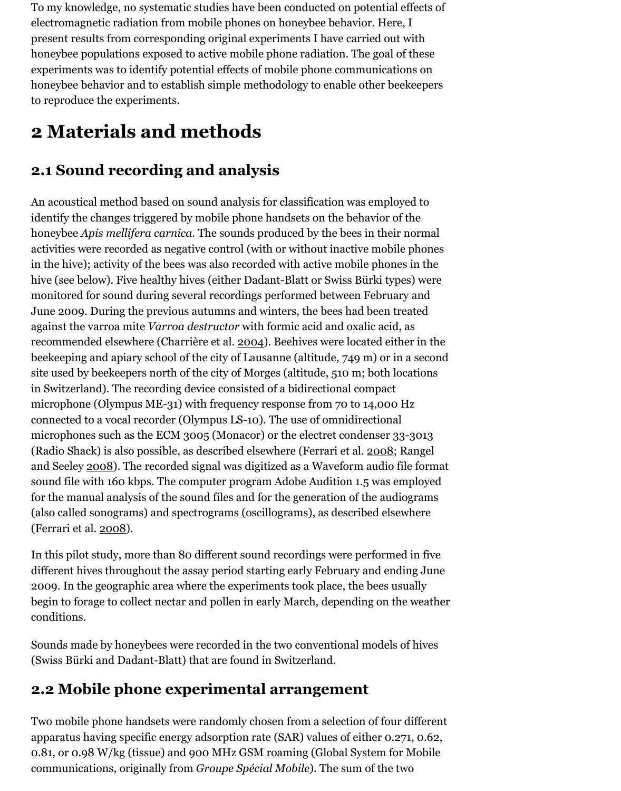## **2 Materials and methods**

## **2.1 Sound recording and analysis**

An acoustical method based on sound analysis for classification was employed to identify the changes triggered by mobile phone handsets on the behavior of the honeybee *Apis mellifera carnica*. The sounds produced by the bees in their normal activities were recorded as negative control (with or without inactive mobile phones in the hive); activity of the bees was also recorded with active mobile phones in the hive (see below). Five healthy hives (either Dadant-Blatt or Swiss Bürki types) were monitored for sound during several recordings performed between February and June 2009. During the previous autumns and winters, the bees had been treated against the varroa mite *Varroa destructor* with formic acid and oxalic acid, as recommended elsewhere (Charrière et al. 2004). Beehives were located either in the beekeeping and apiary school of the city of Lausanne (altitude, 749 m) or in a second site used by beekeepers north of the city of Morges (altitude, 510 m; both locations in Switzerland). The recording device consisted of a bidirectional compact microphone (Olympus ME-31) with frequency response from 70 to 14,000 Hz connected to a vocal recorder (Olympus LS-10). The use of omnidirectional microphones such as the ECM 3005 (Monacor) or the electret condenser 33-3013 (Radio Shack) is also possible, as describ[ed else](http://link.springer.com/article/10.1007/s13592-011-0016-x#CR4)where (Ferrari et al. 2008; Rangel and Seeley 2008). The recorded signal was digitized as a Waveform audio file format sound file with 160 kbps. The computer program Adobe Audition 1.5 was employed for the manual analysis of the sound files and for the generation of the audiograms (also called sonograms) and spectrograms (oscillograms), as described elsewhere (Ferrari et al. 2008).

In this pilot study, more than 80 different sound recordings were p[erform](http://link.springer.com/article/10.1007/s13592-011-0016-x#CR9)ed in five different h[ives th](http://link.springer.com/article/10.1007/s13592-011-0016-x#CR26)roughout the assay period starting early February and ending June 2009. In the geographic area where the experiments took place, the bees usually begin to forage to collect nectar and pollen in early March, depending on the weather conditions.

Sounds made [by ho](http://link.springer.com/article/10.1007/s13592-011-0016-x#CR9)neybees were recorded in the two conventional models of hives (Swiss Bürki and Dadant-Blatt) that are found in Switzerland.

### **2.2 Mobile phone experimental arrangement**

Two mobile phone handsets were randomly chosen from a selection of four different apparatus having specific energy adsorption rate (SAR) values of either 0.271, 0.62, 0.81, or 0.98 W/kg (tissue) and 900 MHz GSM roaming (Global System for Mobile communications, originally from *Groupe Spécial Mobile*). The sum of the two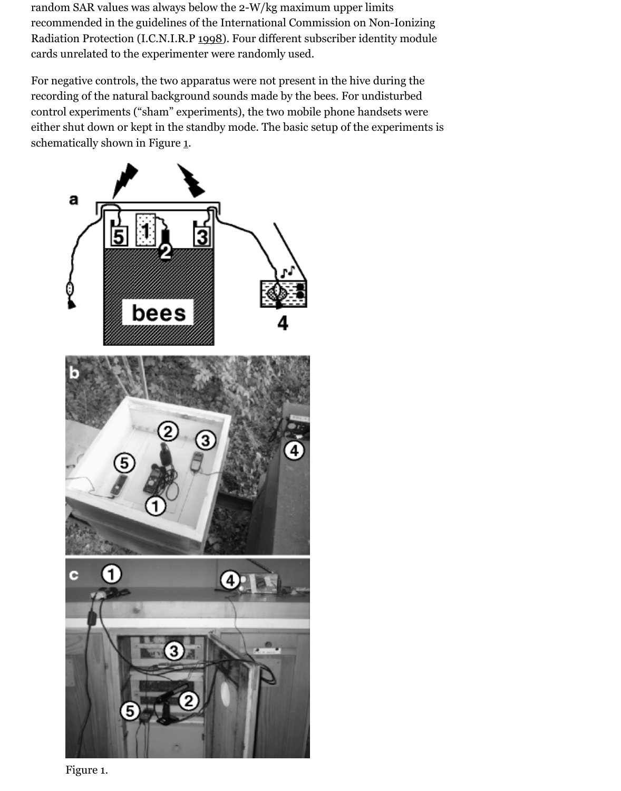control experiments ("sham" experiments), the two mobile phone handsets were either shut down or kept in the standby mode. The basic setup of the experiments is schematically shown in Figure 1.



[Figure 1.](https://static-content.springer.com/image/art%3A10.1007%2Fs13592-011-0016-x/MediaObjects/13592_2011_16_Fig1_HTML.gif)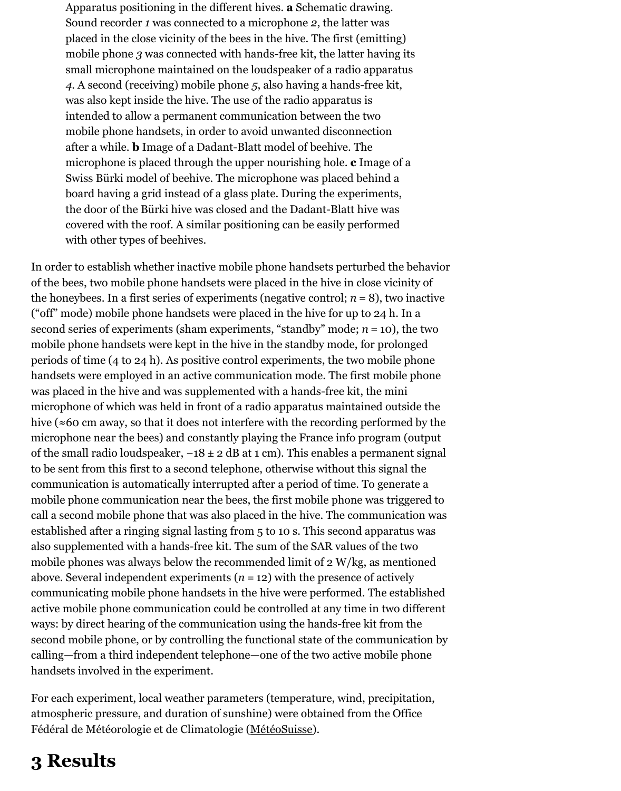intended to allow a permanent communication between the two mobile phone handsets, in order to avoid unwanted disconnection after a while. **b** Image of a Dadant-Blatt model of beehive. The microphone is placed through the upper nourishing hole. **c** Image of a Swiss Bürki model of beehive. The microphone was placed behind a board having a grid instead of a glass plate. During the experiments, the door of the Bürki hive was closed and the Dadant-Blatt hive was covered with the roof. A similar positioning can be easily performed with other types of beehives.

In order to establish whether inactive mobile phone handsets perturbed the behavior of the bees, two mobile phone handsets were placed in the hive in close vicinity of the honeybees. In a first series of experiments (negative control;  $n = 8$ ), two inactive ("off" mode) mobile phone handsets were placed in the hive for up to 24 h. In a second series of experiments (sham experiments, "standby" mode; *n* = 10), the two mobile phone handsets were kept in the hive in the standby mode, for prolonged periods of time (4 to 24 h). As positive control experiments, the two mobile phone handsets were employed in an active communication mode. The first mobile phone was placed in the hive and was supplemented with a hands-free kit, the mini microphone of which was held in front of a radio apparatus maintained outside the hive (≈60 cm away, so that it does not interfere with the recording performed by the microphone near the bees) and constantly playing the France info program (output of the small radio loudspeaker, −18 ± 2 dB at 1 cm). This enables a permanent signal to be sent from this first to a second telephone, otherwise without this signal the communication is automatically interrupted after a period of time. To generate a mobile phone communication near the bees, the first mobile phone was triggered to call a second mobile phone that was also placed in the hive. The communication was established after a ringing signal lasting from 5 to 10 s. This second apparatus was also supplemented with a hands-free kit. The sum of the SAR values of the two mobile phones was always below the recommended limit of 2 W/kg, as mentioned above. Several independent experiments  $(n = 12)$  with the presence of actively communicating mobile phone handsets in the hive were performed. The established active mobile phone communication could be controlled at any time in two different ways: by direct hearing of the communication using the hands-free kit from the second mobile phone, or by controlling the functional state of the communication by calling—from a third independent telephone—one of the two active mobile phone handsets involved in the experiment.

For each experiment, local weather parameters (temperature, wind, precipitation, atmospheric pressure, and duration of sunshine) were obtained from the Office Fédéral de Météorologie et de Climatologie (MétéoSuisse).

## **3 Results**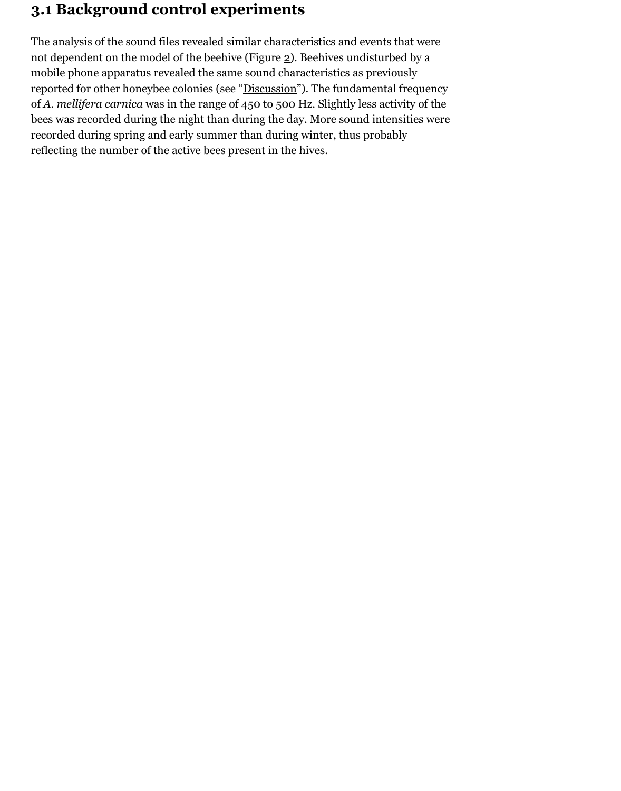of *A. mellifera carnica* was in the range of 450 to 500 Hz. Slightly less activity of the bees was recorded during the night than during the day. More sound intensities were recorded during spring and early summer than during winter, thus probably reflecting the number of the active bees present in the hives.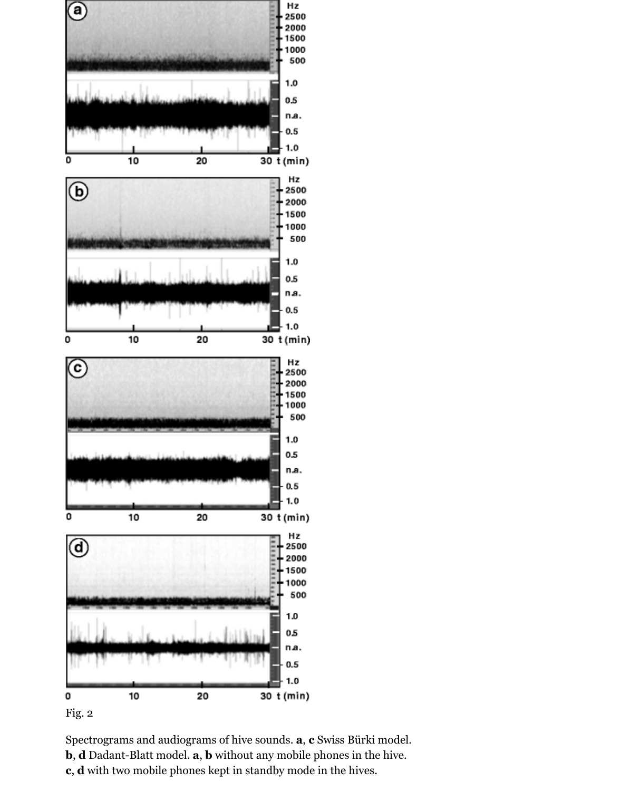

[Spectrograms and audiograms of hive sounds.](https://static-content.springer.com/image/art%3A10.1007%2Fs13592-011-0016-x/MediaObjects/13592_2011_16_Fig2_HTML.gif) **a**, **c** Swiss Bürki model. **b**, **d** Dadant-Blatt model. **a**, **b** without any mobile phones in the hive. **c**, **d** with two mobile phones kept in standby mode in the hives.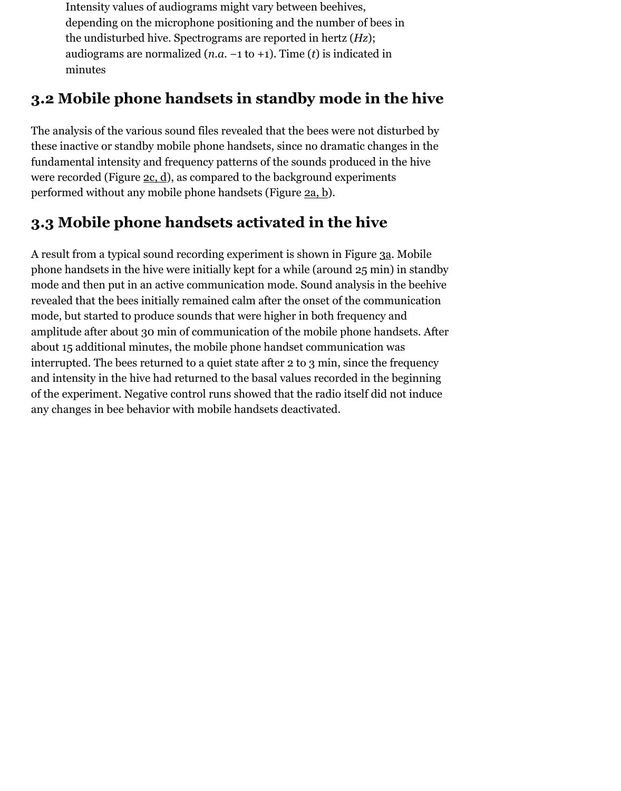The analysis of the various sound files revealed that the bees were not disturbed by these inactive or standby mobile phone handsets, since no dramatic changes in the fundamental intensity and frequency patterns of the sounds produced in the hive were recorded (Figure 2c, d), as compared to the background experiments performed without any mobile phone handsets (Figure 2a, b).

## **3.3 Mobile phone handsets activated in the hive**

A result from a typical sound recording experiment is shown in Figure 3a. Mobile phone handsets in the hive were initially kept for a while (around 25 min) in standby mode and then put in [an act](http://link.springer.com/article/10.1007/s13592-011-0016-x#Fig2)ive communication mode. Sound analysis in the beehive revealed that the bees initially remained calm after the [onset](http://link.springer.com/article/10.1007/s13592-011-0016-x#Fig2) of the communication mode, but started to produce sounds that were higher in both frequency and amplitude after about 30 min of communication of the mobile phone handsets. After about 15 additional minutes, the mobile phone handset communication was interrupted. The bees returned to a quiet state after 2 to 3 min, since t[he f](http://link.springer.com/article/10.1007/s13592-011-0016-x#Fig3)requency and intensity in the hive had returned to the basal values recorded in the beginning of the experiment. Negative control runs showed that the radio itself did not induce any changes in bee behavior with mobile handsets deactivated.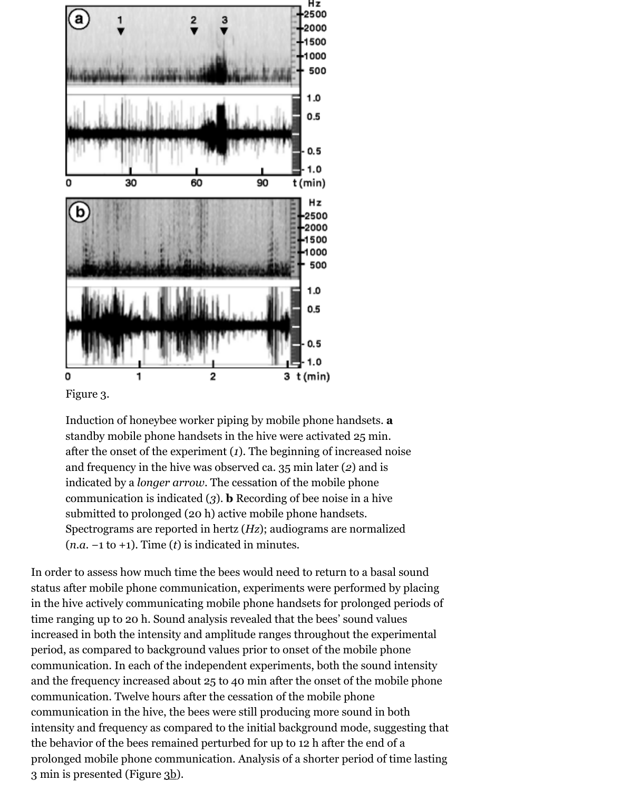

Figure 3.

[Induction of honeybee worker piping by mobile phone](https://static-content.springer.com/image/art%3A10.1007%2Fs13592-011-0016-x/MediaObjects/13592_2011_16_Fig3_HTML.gif) handsets. **a** standby mobile phone handsets in the hive were activated 25 min. after the onset of the experiment (*1*). The beginning of increased noise and frequency in the hive was observed ca. 35 min later (*2*) and is indicated by a *longer arrow*. The cessation of the mobile phone communication is indicated (*3*). **b** Recording of bee noise in a hive submitted to prolonged (20 h) active mobile phone handsets. Spectrograms are reported in hertz (*Hz*); audiograms are normalized (*n.a.* −1 to +1). Time (*t*) is indicated in minutes.

In order to assess how much time the bees would need to return to a basal sound status after mobile phone communication, experiments were performed by placing in the hive actively communicating mobile phone handsets for prolonged periods of time ranging up to 20 h. Sound analysis revealed that the bees' sound values increased in both the intensity and amplitude ranges throughout the experimental period, as compared to background values prior to onset of the mobile phone communication. In each of the independent experiments, both the sound intensity and the frequency increased about 25 to 40 min after the onset of the mobile phone communication. Twelve hours after the cessation of the mobile phone communication in the hive, the bees were still producing more sound in both intensity and frequency as compared to the initial background mode, suggesting that the behavior of the bees remained perturbed for up to 12 h after the end of a prolonged mobile phone communication. Analysis of a shorter period of time lasting 3 min is presented (Figure 3b).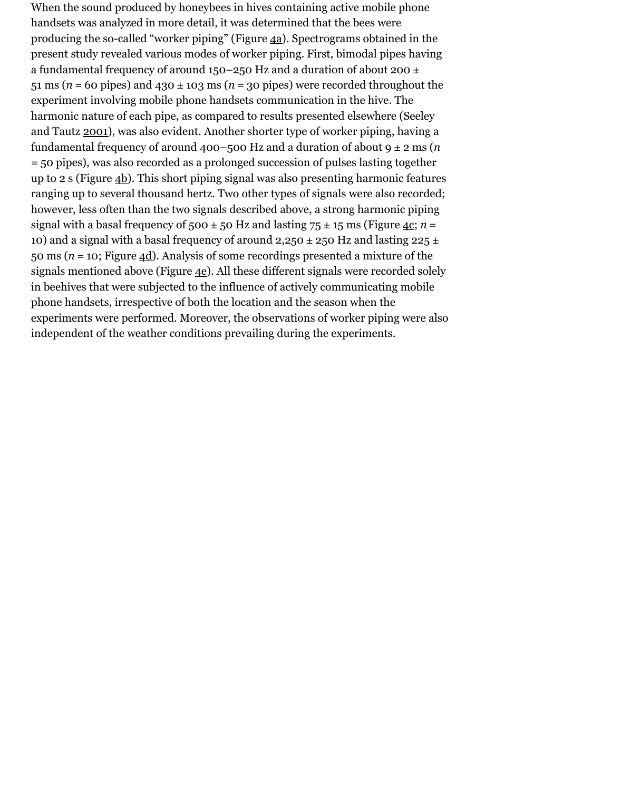harmonic nature of each pipe, as compared to results presented elsewhere (Seeley and Tautz 2001), was also evident. Another shorter type of worker piping, having a fundamental frequency of around 400–500 Hz [and](http://link.springer.com/article/10.1007/s13592-011-0016-x#Fig4) a duration of about  $9 \pm 2$  ms (*n*) = 50 pipes), was also recorded as a prolonged succession of pulses lasting together up to 2 s (Figure  $\underline{4b}$ ). This short piping signal was also presenting harmonic features ranging up to several thousand hertz. Two other types of signals were also recorded; however, less often than the two signals described above, a strong harmonic piping signal with a basal frequency of  $500 \pm 50$  Hz and lasting  $75 \pm 15$  ms (Figure  $4c$ ;  $n =$ 10) and a [signal](http://link.springer.com/article/10.1007/s13592-011-0016-x#CR29) with a basal frequency of around  $2,250 \pm 250$  Hz and lasting  $225 \pm 250$ 50 ms (*n* = 10; Figure 4d). Analysis of some recordings presented a mixture of the signals mentioned above (Figure  $4e$ ). All these different signals were recorded solely in beehives that [wer](http://link.springer.com/article/10.1007/s13592-011-0016-x#Fig4)e subjected to the influence of actively communicating mobile phone handsets, irrespective of both the location and the season when the experiments were performed. Moreover, the observations of worker piping were also independent of the weather conditions prevailing during the experiments.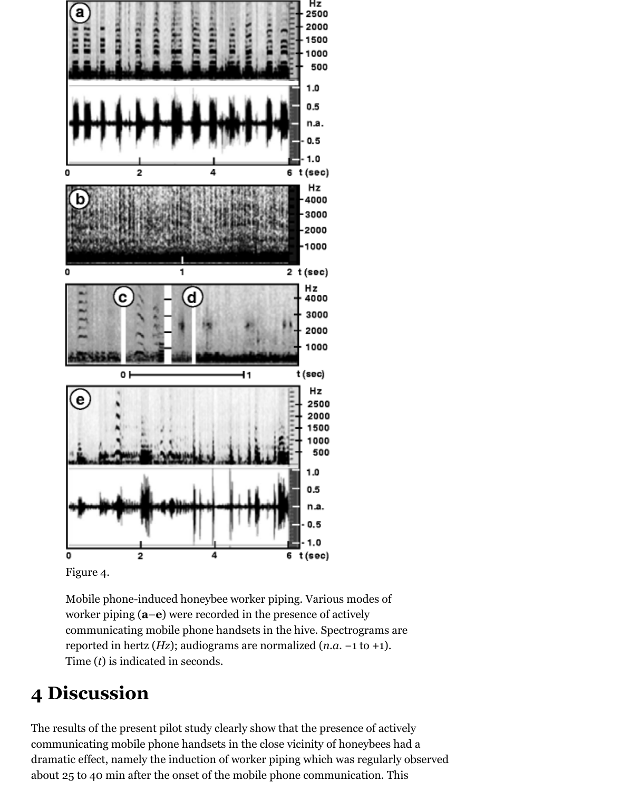

Figure 4.

[Mobile phone-induced honeybee worker piping. Vario](https://static-content.springer.com/image/art%3A10.1007%2Fs13592-011-0016-x/MediaObjects/13592_2011_16_Fig4_HTML.gif)us modes of worker piping (**a**–**e**) were recorded in the presence of actively communicating mobile phone handsets in the hive. Spectrograms are reported in hertz (*Hz*); audiograms are normalized (*n.a.* −1 to +1). Time (*t*) is indicated in seconds.

## **4 Discussion**

The results of the present pilot study clearly show that the presence of actively communicating mobile phone handsets in the close vicinity of honeybees had a dramatic effect, namely the induction of worker piping which was regularly observed about 25 to 40 min after the onset of the mobile phone communication. This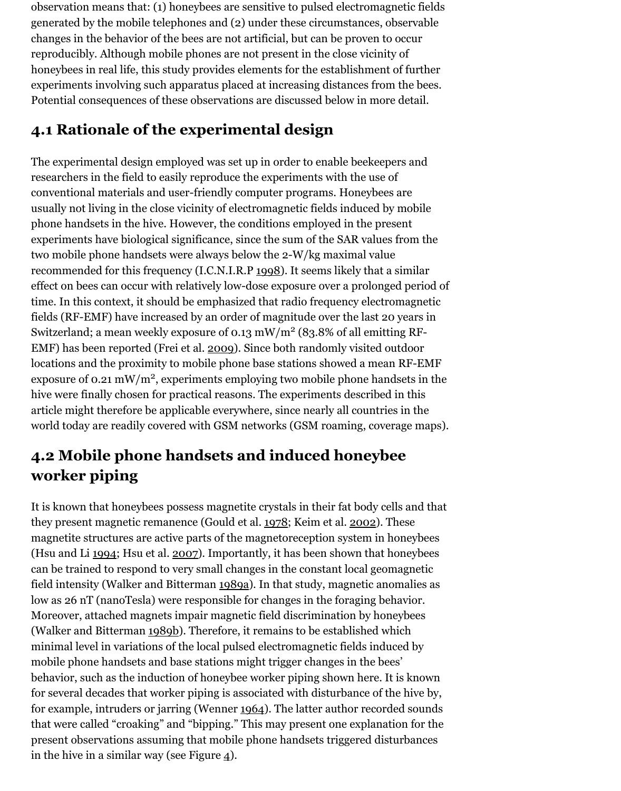### **4.1 Rationale of the experimental design**

The experimental design employed was set up in order to enable beekeepers and researchers in the field to easily reproduce the experiments with the use of conventional materials and user-friendly computer programs. Honeybees are usually not living in the close vicinity of electromagnetic fields induced by mobile phone handsets in the hive. However, the conditions employed in the present experiments have biological significance, since the sum of the SAR values from the two mobile phone handsets were always below the 2-W/kg maximal value recommended for this frequency (I.C.N.I.R.P 1998). It seems likely that a similar effect on bees can occur with relatively low-dose exposure over a prolonged period of time. In this context, it should be emphasized that radio frequency electromagnetic fields (RF-EMF) have increased by an order of magnitude over the last 20 years in Switzerland; a mean weekly exposure of  $0.13 \text{ mW/m}^2$  (83.8% of all emitting RF-EMF) has been reported (Frei et al. 2009). Since both randomly visited outdoor locations and the proximity to mobile phone base stations showed a mean RF-EMF exposure of  $o.21 \text{ mW/m}^2$ , experiments empl[oying t](http://link.springer.com/article/10.1007/s13592-011-0016-x#CR17)wo mobile phone handsets in the hive were finally chosen for practical reasons. The experiments described in this article might therefore be applicable everywhere, since nearly all countries in the world today are readily covered with GSM networks (GSM roaming, coverage maps).

## **4.2 Mobile phone hand[sets](http://link.springer.com/article/10.1007/s13592-011-0016-x#CR10) and induced honeybee worker piping**

It is known that honeybees possess magnetite crystals in their fat body cells and that they present magnetic remanence (Gould et al. 1978; Keim et al. 2002). These magnetite structures are active parts of the magnetoreception system in honeybees (Hsu and Li 1994; Hsu et al. 2007). Importantly, it has been shown that honeybees can be trained to respond to very small changes in the constant local geomagnetic field intensity (Walker and Bitterman 1989a). In that study, magnetic anomalies as low as 26 nT (nanoTesla) were responsible for changes in the foraging behavior. Moreover, attached magnets impair magnetic field discrimination by honeybees (Walker and Bitterman 1989b). Therefore, it re[main](http://link.springer.com/article/10.1007/s13592-011-0016-x#CR12)s to be estab[lished](http://link.springer.com/article/10.1007/s13592-011-0016-x#CR18) which minimal level in variations of the local pulsed electromagnetic fields induced by mobile pho[ne han](http://link.springer.com/article/10.1007/s13592-011-0016-x#CR15)dsets and [base s](http://link.springer.com/article/10.1007/s13592-011-0016-x#CR16)tations might trigger changes in the bees' behavior, such as the induction of honeybee worker piping shown here. It is known for several decades that worker pipin[g is asso](http://link.springer.com/article/10.1007/s13592-011-0016-x#CR33)ciated with disturbance of the hive by, for example, intruders or jarring (Wenner 1964). The latter author recorded sounds that were called "croaking" and "bipping." This may present one explanation for the present observations as[suming](http://link.springer.com/article/10.1007/s13592-011-0016-x#CR34) that mobile phone handsets triggered disturbances in the hive in a similar way (see Figure  $\triangleleft$ ).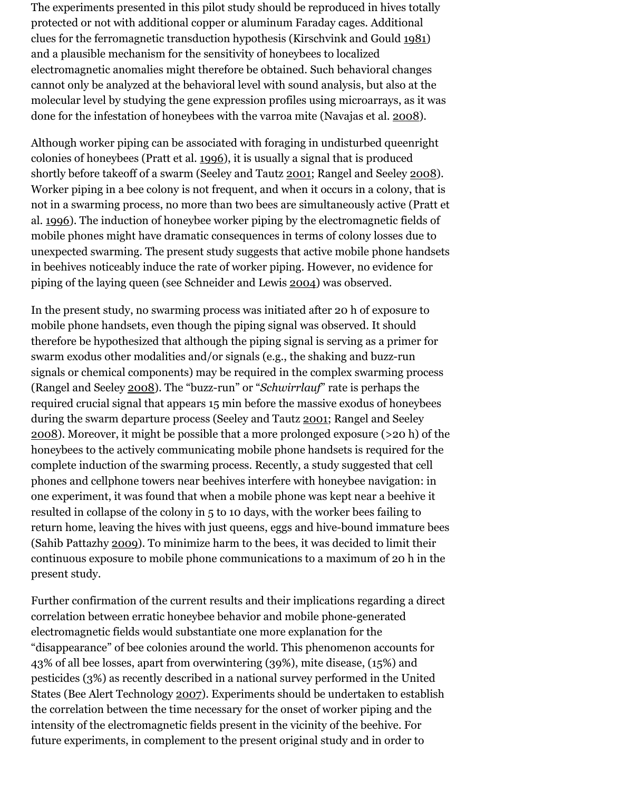done for the infestation of honeybees with the varroa mite (Navajas et al. 2008).

Although worker piping can be associated with foraging in undisturbed que[enrig](http://link.springer.com/article/10.1007/s13592-011-0016-x#CR19)ht colonies of honeybees (Pratt et al. 1996), it is usually a signal that is produced shortly before takeoff of a swarm (Seeley and Tautz 2001; Rangel and Seeley 2008). Worker piping in a bee colony is not frequent, and when it occurs in a colony, that is not in a swarming process, no more than two bees are simultaneously active (Pratt et al. 1996). The induction of honeybee worker piping by the electromagnet[ic field](http://link.springer.com/article/10.1007/s13592-011-0016-x#CR23)s of mobile phones might have dramatic consequences in terms of colony losses due to unexpected swarming. The present study suggests that active mobile phone handsets in beehives noticeably induce the [rate o](http://link.springer.com/article/10.1007/s13592-011-0016-x#CR25)f worker piping. However, no evidence for piping of the laying queen (see Schneider and Lewi[s 2004](http://link.springer.com/article/10.1007/s13592-011-0016-x#CR29)) was observed.

In the present study, no swarming process was initiated after 20 h of exposure to m[obile p](http://link.springer.com/article/10.1007/s13592-011-0016-x#CR25)hone handsets, even though the piping signal was observed. It should therefore be hypothesized that although the piping signal is serving as a primer for swarm exodus other modalities and/or signals (e.g., the shaking and buzz-run signals or chemical components) may be required in the complex swarming process (Rangel and Seeley 2008). The "buzz-run" or "*Schw[irrlau](http://link.springer.com/article/10.1007/s13592-011-0016-x#CR28)f*" rate is perhaps the required crucial signal that appears 15 min before the massive exodus of honeybees during the swarm departure process (Seeley and Tautz 2001; Rangel and Seeley 2008). Moreover, it might be possible that a more prolonged exposure (>20 h) of the honeybees to the actively communicating mobile phone handsets is required for the complete induction of the swarming process. Recently, a study suggested that cell phones and cellphone towers near beehives interfere with honeybee navigation: in one experiment, it [was fou](http://link.springer.com/article/10.1007/s13592-011-0016-x#CR26)nd that when a mobile phone was kept near a beehive it resulted in collapse of the colony in 5 to 10 days, with the worker bees failing to return home, leaving the hives with just queens, eggs a[nd hiv](http://link.springer.com/article/10.1007/s13592-011-0016-x#CR29)e-bound immature bees [\(Sahib](http://link.springer.com/article/10.1007/s13592-011-0016-x#CR26) Pattazhy 2009). To minimize harm to the bees, it was decided to limit their continuous exposure to mobile phone communications to a maximum of 20 h in the present study.

Further confirmation of the current results and their implications regarding a direct correlation between erratic honeybee behavior and mobile phone-generated electromagnetic fields would substantiate one more explanation for the "disappearance[" of be](http://link.springer.com/article/10.1007/s13592-011-0016-x#CR27)e colonies around the world. This phenomenon accounts for 43% of all bee losses, apart from overwintering (39%), mite disease, (15%) and pesticides (3%) as recently described in a national survey performed in the United States (Bee Alert Technology 2007). Experiments should be undertaken to establish the correlation between the time necessary for the onset of worker piping and the intensity of the electromagnetic fields present in the vicinity of the beehive. For future experiments, in complement to the present original study and in order to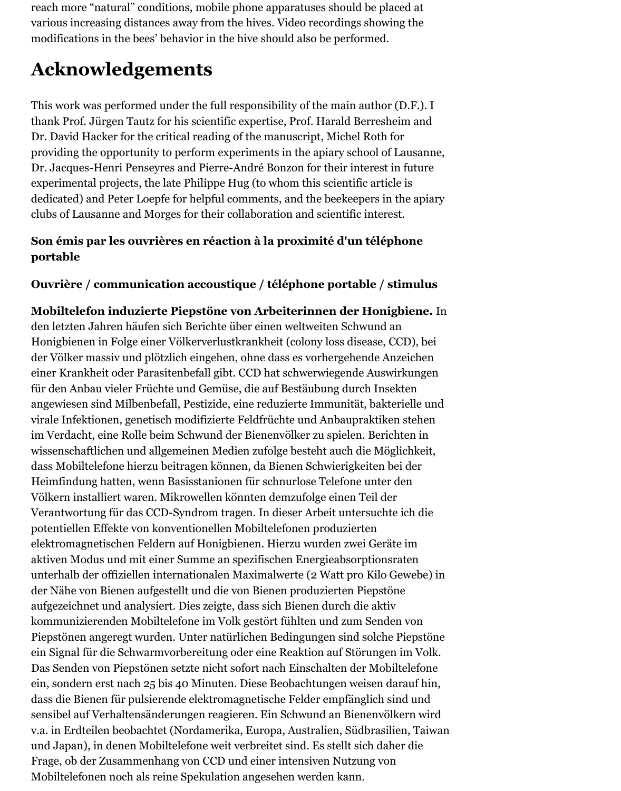reach more "natural" conditions, mobile phone apparatuses should be placed at various increasing distances away from the hives. Video recordings showing the modifications in the bees' behavior in the hive should also be performed.

## **Acknowledgements**

This work was performed under the full responsibility of the main author (D.F.). I thank Prof. Jürgen Tautz for his scientific expertise, Prof. Harald Berresheim and Dr. David Hacker for the critical reading of the manuscript, Michel Roth for providing the opportunity to perform experiments in the apiary school of Lausanne, Dr. Jacques-Henri Penseyres and Pierre-André Bonzon for their interest in future experimental projects, the late Philippe Hug (to whom this scientific article is dedicated) and Peter Loepfe for helpful comments, and the beekeepers in the apiary clubs of Lausanne and Morges for their collaboration and scientific interest.

#### **Son émis par les ouvrières en réaction à la proximité d'un téléphone portable**

#### **Ouvrière / communication accoustique / téléphone portable / stimulus**

**Mobiltelefon induzierte Piepstöne von Arbeiterinnen der Honigbiene.** In den letzten Jahren häufen sich Berichte über einen weltweiten Schwund an Honigbienen in Folge einer Völkerverlustkrankheit (colony loss disease, CCD), bei der Völker massiv und plötzlich eingehen, ohne dass es vorhergehende Anzeichen einer Krankheit oder Parasitenbefall gibt. CCD hat schwerwiegende Auswirkungen für den Anbau vieler Früchte und Gemüse, die auf Bestäubung durch Insekten angewiesen sind Milbenbefall, Pestizide, eine reduzierte Immunität, bakterielle und virale Infektionen, genetisch modifizierte Feldfrüchte und Anbaupraktiken stehen im Verdacht, eine Rolle beim Schwund der Bienenvölker zu spielen. Berichten in wissenschaftlichen und allgemeinen Medien zufolge besteht auch die Möglichkeit, dass Mobiltelefone hierzu beitragen können, da Bienen Schwierigkeiten bei der Heimfindung hatten, wenn Basisstanionen für schnurlose Telefone unter den Völkern installiert waren. Mikrowellen könnten demzufolge einen Teil der Verantwortung für das CCD-Syndrom tragen. In dieser Arbeit untersuchte ich die potentiellen Effekte von konventionellen Mobiltelefonen produzierten elektromagnetischen Feldern auf Honigbienen. Hierzu wurden zwei Geräte im aktiven Modus und mit einer Summe an spezifischen Energieabsorptionsraten unterhalb der offiziellen internationalen Maximalwerte (2 Watt pro Kilo Gewebe) in der Nähe von Bienen aufgestellt und die von Bienen produzierten Piepstöne aufgezeichnet und analysiert. Dies zeigte, dass sich Bienen durch die aktiv kommunizierenden Mobiltelefone im Volk gestört fühlten und zum Senden von Piepstönen angeregt wurden. Unter natürlichen Bedingungen sind solche Piepstöne ein Signal für die Schwarmvorbereitung oder eine Reaktion auf Störungen im Volk. Das Senden von Piepstönen setzte nicht sofort nach Einschalten der Mobiltelefone ein, sondern erst nach 25 bis 40 Minuten. Diese Beobachtungen weisen darauf hin, dass die Bienen für pulsierende elektromagnetische Felder empfänglich sind und sensibel auf Verhaltensänderungen reagieren. Ein Schwund an Bienenvölkern wird v.a. in Erdteilen beobachtet (Nordamerika, Europa, Australien, Südbrasilien, Taiwan und Japan), in denen Mobiltelefone weit verbreitet sind. Es stellt sich daher die Frage, ob der Zusammenhang von CCD und einer intensiven Nutzung von Mobiltelefonen noch als reine Spekulation angesehen werden kann.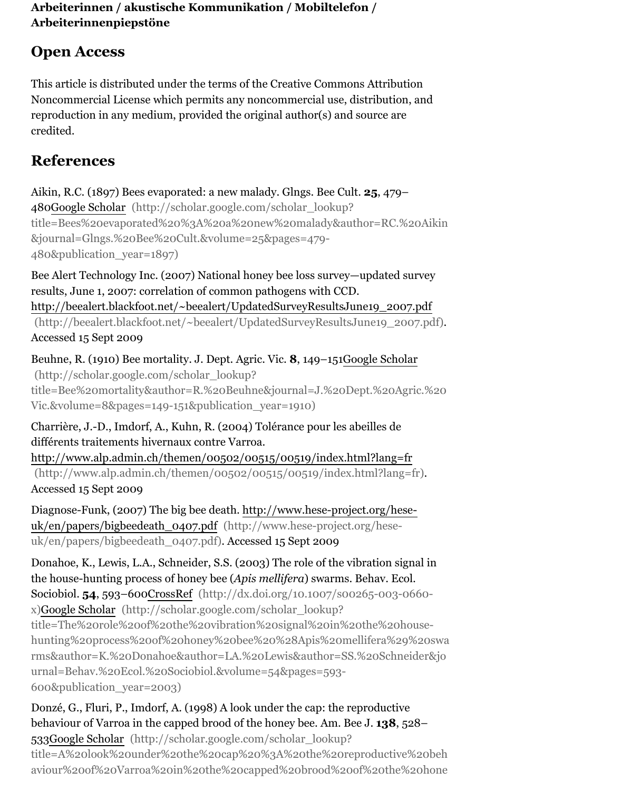reproduction in any medium, provided the original author(s) and source are credited.

## **References**

Aikin, R.C. (1897) Bees evaporated: a new malady. Glngs. Bee Cult. **25**, 479– 480Google Scholar (http://scholar.google.com/scholar\_lookup? title=Bees%20evaporated%20%3A%20a%20new%20malady&author=RC.%20Aikin &journal=Glngs.%20Bee%20Cult.&volume=25&pages=479- 480&publication\_year=1897)

Bee Alert Technology Inc. (2007) National honey bee loss survey—updated survey results, June 1, 2007: correlation of common pathogens with CCD. http://beealert.blackfoot.net/~beealert/UpdatedSurveyResultsJune19\_2007.pdf [\(http://beealert.blackfoot.net/~beealert/UpdatedSurveyResultsJune19\\_2007.pdf\).](http://scholar.google.com/scholar_lookup?title=Bees%20evaporated%20%3A%20a%20new%20malady&author=RC.%20Aikin&journal=Glngs.%20Bee%20Cult.&volume=25&pages=479-480&publication_year=1897) Accessed 15 Sept 2009

Beuhne, R. (1910) Bee mortality. J. Dept. Agric. Vic. **8**, 149–151Google Scholar (http://scholar.google.com/scholar\_lookup? title=Bee%20mortality&author=R.%20Beuhne&journal=J.%20Dept.%20Agric.%20 Vic.&volume=8&pages=149-151&publication\_year=1910)

[Charrière, J.-D., Imdorf, A., Kuhn, R. \(2004\) Tolérance pour les abeilles de](http://beealert.blackfoot.net/~beealert/UpdatedSurveyResultsJune19_2007.pdf) différents traitements hivernaux contre Varroa.

http://www.alp.admin.ch/themen/00502/00515/00519/index.html?lang=fr [\(http://www.alp.admin.ch/themen/00502/00515/00519/index.html?lang=fr\).](http://scholar.google.com/scholar_lookup?title=Bee%20mortality&author=R.%20Beuhne&journal=J.%20Dept.%20Agric.%20Vic.&volume=8&pages=149-151&publication_year=1910) Accessed 15 Sept 2009

Diagnose-Funk, (2007) The big bee death. http://www.hese-project.org/heseuk/en/papers/bigbeedeath\_0407.pdf (http://www.hese-project.org/heseuk/en/papers/bigbeedeath\_0407.pdf). Accessed 15 Sept 2009

[Donahoe, K., Lewis, L.A., Schneider, S.S. \(2003\) The role of the vibration signal](http://www.alp.admin.ch/themen/00502/00515/00519/index.html?lang=fr) in the house-hunting process of honey bee (*Apis mellifera*) swarms. Behav. Ecol. Sociobiol. **54**, 593–600CrossRef (http://dx.doi.org/10.1007/s00265-003-0660 x)Google Scholar (http://scholar.google.com/scholar\_lookup? [title=The%20role%20of%20the%20vibration%20signal%20in%20the%20hou](http://www.hese-project.org/hese-uk/en/papers/bigbeedeath_0407.pdf)sehunting%20process%20of%20honey%20bee%20%28Apis%20mellifera%29%20swa rms&author=K.%20Donahoe&author=LA.%20Lewis&author=SS.%20Schneider&jo urnal=Behav.%20Ecol.%20Sociobiol.&volume=54&pages=593- 600&publication\_year=2003)

[Donzé, G., Fluri, P., Imdorf, A. \(1998\) A look under the cap: the reproductive](http://dx.doi.org/10.1007/s00265-003-0660-x) behaviour of Varroa in the capped brood of the honey bee. Am. Bee J. **138**, 528– 533Google Scholar (http://scholar.google.com/scholar\_lookup? [title=A%20look%20under%20the%20cap%20%3A%20the%20reproductive%20beh](http://scholar.google.com/scholar_lookup?title=The%20role%20of%20the%20vibration%20signal%20in%20the%20house-hunting%20process%20of%20honey%20bee%20%28Apis%20mellifera%29%20swarms&author=K.%20Donahoe&author=LA.%20Lewis&author=SS.%20Schneider&journal=Behav.%20Ecol.%20Sociobiol.&volume=54&pages=593-600&publication_year=2003) aviour%20of%20Varroa%20in%20the%20capped%20brood%20of%20the%20hone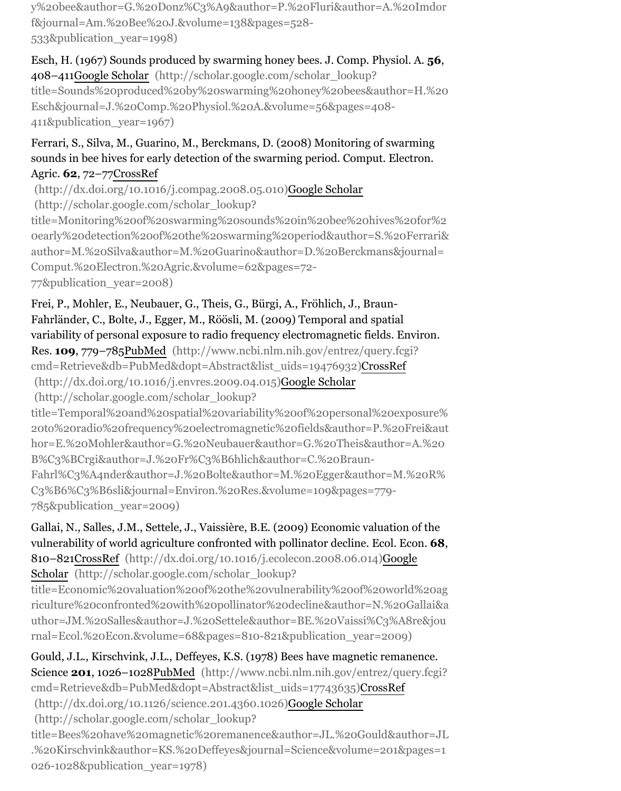Esch&journal=J.%20Comp.%20Physiol.%20A.&volume=56&pages=408- 411&publication\_year=1967)

[Ferrari, S., Silva, M., Guarino, M., Berckmans, D. \(2008\) Monitoring of swarming](http://scholar.google.com/scholar_lookup?title=A%20look%20under%20the%20cap%20%3A%20the%20reproductive%20behaviour%20of%20Varroa%20in%20the%20capped%20brood%20of%20the%20honey%20bee&author=G.%20Donz%C3%A9&author=P.%20Fluri&author=A.%20Imdorf&journal=Am.%20Bee%20J.&volume=138&pages=528-533&publication_year=1998) sounds in bee hives for early detection of the swarming period. Comput. Electron. Agric. **62**, 72–77CrossRef

(http://dx.doi.org/10.1016/j.compag.2008.05.010)Google Scholar (http://scholar.google.com/scholar\_lookup?

[title=Monitoring%20of%20swarming%20sounds%20in%20bee%20hives%20for%2](http://scholar.google.com/scholar_lookup?title=Sounds%20produced%20by%20swarming%20honey%20bees&author=H.%20Esch&journal=J.%20Comp.%20Physiol.%20A.&volume=56&pages=408-411&publication_year=1967) 0early%20detection%20of%20the%20swarming%20period&author=S.%20Ferrari& author=M.%20Silva&author=M.%20Guarino&author=D.%20Berckmans&journal= Comput.%20Electron.%20Agric.&volume=62&pages=72- 77&publication\_year=2008)

[Frei, P., Mohler, E., Neubauer, G., Theis, G., Bürgi, A](http://dx.doi.org/10.1016/j.compag.2008.05.010)., Fröhlich, J., Braun-Fahrländer, C., Bolte, J., Egger, M., Röösli, M. (2009) Temporal and spatial [variability of personal exposure to radio frequency electromagnetic fields. Environ.](http://scholar.google.com/scholar_lookup?title=Monitoring%20of%20swarming%20sounds%20in%20bee%20hives%20for%20early%20detection%20of%20the%20swarming%20period&author=S.%20Ferrari&author=M.%20Silva&author=M.%20Guarino&author=D.%20Berckmans&journal=Comput.%20Electron.%20Agric.&volume=62&pages=72-77&publication_year=2008) Res. **109**, 779–785PubMed (http://www.ncbi.nlm.nih.gov/entrez/query.fcgi? cmd=Retrieve&db=PubMed&dopt=Abstract&list\_uids=19476932)CrossRef (http://dx.doi.org/10.1016/j.envres.2009.04.015)Google Scholar (http://scholar.google.com/scholar\_lookup? title=Temporal%20and%20spatial%20variability%20of%20personal%20exposure%

20to%20radio%20frequency%20electromagnetic%20fields&author=P.%20Frei&aut hor=E.%20Mohler&author=G.%20Neubauer&author=G.%20Theis&author=A.%20 B%C3%BCrgi&author=J.%20Fr%C3%B6hlich&author=C.%20Braun-[Fahrl%C3%A4nder&author=J.%20Bolte&author=M.%20Egger&author=M.%2](http://www.ncbi.nlm.nih.gov/entrez/query.fcgi?cmd=Retrieve&db=PubMed&dopt=Abstract&list_uids=19476932)0R% C3%B6%C3%B6sli&journal=Environ.%20Res.&volume=109&pages=779- 785&publication\_year=2009)

Gallai, N., Salles, J.M., Settele, J., Vaissière, B.E. (2009) Economic valuation of the vulnerability of world agriculture confronted with pollinator decline. Ecol. Econ. **68**, 810–821CrossRef (http://dx.doi.org/10.1016/j.ecolecon.2008.06.014)Google Scholar (http://scholar.google.com/scholar\_lookup?

title=Economic%20valuation%20of%20the%20vulnerability%20of%20world%20ag [riculture%20confronted%20with%20pollinator%20decline&author=N.%20Gallai&a](http://scholar.google.com/scholar_lookup?title=Temporal%20and%20spatial%20variability%20of%20personal%20exposure%20to%20radio%20frequency%20electromagnetic%20fields&author=P.%20Frei&author=E.%20Mohler&author=G.%20Neubauer&author=G.%20Theis&author=A.%20B%C3%BCrgi&author=J.%20Fr%C3%B6hlich&author=C.%20Braun-Fahrl%C3%A4nder&author=J.%20Bolte&author=M.%20Egger&author=M.%20R%C3%B6%C3%B6sli&journal=Environ.%20Res.&volume=109&pages=779-785&publication_year=2009) uthor=JM.%20Salles&author=J.%20Settele&author=BE.%20Vaissi%C3%A8re&jou rnal=Ecol.%20Econ.&volume=68&pages=810-821&publication\_year=2009)

Gould, J.L., Kirschvink, J.L., Deffeyes, K.S. (1978) Bees have magnetic remanence. Science **201**[, 1026–1028PubMed \(http://www.ncbi.nlm.nih.gov/entrez](http://dx.doi.org/10.1016/j.ecolecon.2008.06.014)/query.fcgi? cmd=Retrieve&db=PubMed&dopt=Abstract&list\_uids=17743635)CrossRef (http://dx.doi.org/10.1126/science.201.4360.1026)Google Scholar (http://scholar.google.com/scholar\_lookup? [title=Bees%20have%20magnetic%20remanence&author=JL.%20Gould&author=JL](http://scholar.google.com/scholar_lookup?title=Economic%20valuation%20of%20the%20vulnerability%20of%20world%20agriculture%20confronted%20with%20pollinator%20decline&author=N.%20Gallai&author=JM.%20Salles&author=J.%20Settele&author=BE.%20Vaissi%C3%A8re&journal=Ecol.%20Econ.&volume=68&pages=810-821&publication_year=2009) .%20Kirschvink&author=KS.%20Deffeyes&journal=Science&volume=201&pages=1 026-1028&publication\_year=1978)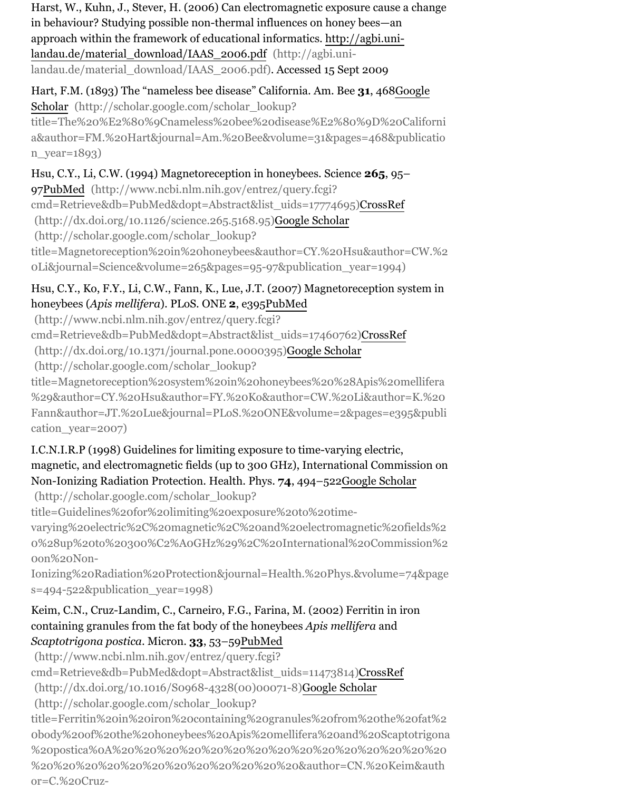$S$ cholar  $\left($ http:// $\sigma$ cholar.google.com/ $\sigma$ cholar\_lookup?

title=The%20%E2%80%9Cnameless%20bee%20disease%E2%80%9D%20Californi a&author=FM.%20Hart&journal=Am.%20Bee&volume=31&pages=468&publicatio n\_year=1893)

#### [Hsu, C.Y., Li, C.W. \(1994\) Magnetoreception in honeybees. Science](http://agbi.uni-landau.de/material_download/IAAS_2006.pdf) **265**, 95–

97PubMed (http://www.ncbi.nlm.nih.gov/entrez/query.fcgi?

cmd=Retrieve&db=PubMed&dopt=Abstract&list\_uids=17774695)CrossRef

(http://dx.doi.org/10.1126/science.265.5168.95)Google Scholar

(http://scholar.google.com/scholar\_lookup?

```
title=Magnetoreception%20in%20honeybees&author=CY.%20Hsu&author=CW.%2
0Li&journal=Science&volume=265&pages=95-97&publication_year=1994)
```
#### Hsu, C.Y., Ko, F.Y., Li, C.W., Fann, K., Lue, J.T. (2007) Magnetoreception system in honeybees (*Apis mellifera*). PLoS. ONE **2**, e395PubMed

[\(http://www.ncbi.nlm.nih.gov/entrez/query.fcgi?](http://dx.doi.org/10.1126/science.265.5168.95)

[cmd=Retrieve&db=PubMed&dopt=Abstract&list\\_uids=17460762\)CrossRef](http://scholar.google.com/scholar_lookup?title=Magnetoreception%20in%20honeybees&author=CY.%20Hsu&author=CW.%20Li&journal=Science&volume=265&pages=95-97&publication_year=1994)

(http://dx.doi.org/10.1371/journal.pone.0000395)Google Scholar

(http://scholar.google.com/scholar\_lookup?

title=Magnetoreception%20system%20in%20honeybees%20%28Apis%20mellifera %29&author=CY.%20Hsu&author=FY.%20Ko&author=CW.%20Li&author=K.%20 [Fann&author=JT.%20Lue&journal=PLoS.%20ONE&volume=2&pa](http://www.ncbi.nlm.nih.gov/entrez/query.fcgi?cmd=Retrieve&db=PubMed&dopt=Abstract&list_uids=17460762)ges=e395&publi cation year=2007)

#### [I.C.N.I.R.P \(1998\) Guidelines for limiting exposure to time-varying electric,](http://dx.doi.org/10.1371/journal.pone.0000395) [magnetic, and electromagnetic fields \(up to 300 GHz\), International Commission on](http://scholar.google.com/scholar_lookup?title=Magnetoreception%20system%20in%20honeybees%20%28Apis%20mellifera%29&author=CY.%20Hsu&author=FY.%20Ko&author=CW.%20Li&author=K.%20Fann&author=JT.%20Lue&journal=PLoS.%20ONE&volume=2&pages=e395&publication_year=2007) Non-Ionizing Radiation Protection. Health. Phys. **74**, 494–522Google Scholar

(http://scholar.google.com/scholar\_lookup?

title=Guidelines%20for%20limiting%20exposure%20to%20time-

varying%20electric%2C%20magnetic%2C%20and%20electromagnetic%20fields%2 0%28up%20to%20300%C2%A0GHz%29%2C%20International%20Commission%2 0on%20Non-

Ionizing%20Radiation%20Protection&journal=Health.%20Phys.&volume=74&page s=494-522&publication\_year=1998)

#### [Keim, C.N., Cruz-Landim, C., Carneiro, F.G., Farina, M. \(2002\) Ferritin in iron](http://scholar.google.com/scholar_lookup?title=Guidelines%20for%20limiting%20exposure%20to%20time-varying%20electric%2C%20magnetic%2C%20and%20electromagnetic%20fields%20%28up%20to%20300%C2%A0GHz%29%2C%20International%20Commission%20on%20Non-Ionizing%20Radiation%20Protection&journal=Health.%20Phys.&volume=74&pages=494-522&publication_year=1998) containing granules from the fat body of the honeybees *Apis mellifera* and *Scaptotrigona postica*. Micron. **33**, 53–59PubMed

(http://www.ncbi.nlm.nih.gov/entrez/query.fcgi? cmd=Retrieve&db=PubMed&dopt=Abstract&list\_uids=11473814)CrossRef (http://dx.doi.org/10.1016/S0968-4328(00)00071-8)Google Scholar (http://scholar.google.com/scholar\_lookup? title=Ferritin%20in%20iron%20containing%20granules%20from%20the%20fat%2 0body%20of%20the%20honeybees%20Apis%20mellifera%20and%20Scaptotrigona %20postica%0A%20%20%20%20%20%20%20%20%20%20%20%20%20%20%20

[%20%20%20%20%20%20%20%20%20%20%20%20&author=CN](http://www.ncbi.nlm.nih.gov/entrez/query.fcgi?cmd=Retrieve&db=PubMed&dopt=Abstract&list_uids=11473814).%20Keim&auth [or=C.%20Cruz-](http://dx.doi.org/10.1016/S0968-4328(00)00071-8)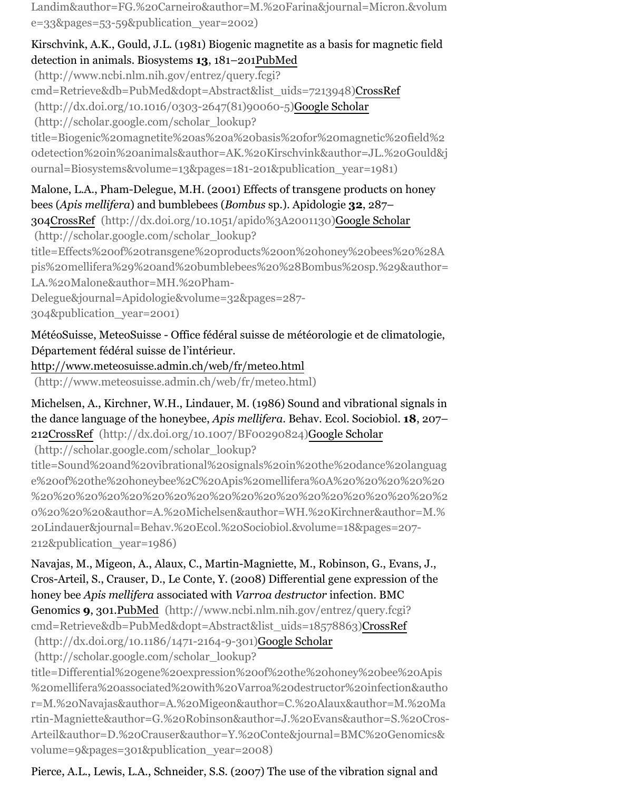$(\text{intp.77a.401.018710.101070303} - 2047(0190000000) )$ Google Scholar (http://scholar.google.com/scholar\_lookup?

[title=Biogenic%20magnetite%20as%20a%20basis%20for%20magnetic%20field%2](http://scholar.google.com/scholar_lookup?title=Ferritin%20in%20iron%20containing%20granules%20from%20the%20fat%20body%20of%20the%20honeybees%20Apis%20mellifera%20and%20Scaptotrigona%20postica%0A%20%20%20%20%20%20%20%20%20%20%20%20%20%20%20%20%20%20%20%20%20%20%20%20%20%20%20&author=CN.%20Keim&author=C.%20Cruz-Landim&author=FG.%20Carneiro&author=M.%20Farina&journal=Micron.&volume=33&pages=53-59&publication_year=2002) 0detection%20in%20animals&author=AK.%20Kirschvink&author=JL.%20Gould&j [ournal=Biosystems&volume=13&pages=181-201&publication\\_yea](http://www.ncbi.nlm.nih.gov/entrez/query.fcgi?cmd=Retrieve&db=PubMed&dopt=Abstract&list_uids=7213948)r=1981)

#### Malone, L.A., Pham-Delegue, M.H. (2001) Effects of transgene products on honey bees (*Apis mellifera*) and bumblebees (*Bombus* sp.). Apidologie **32**, 287–

[304CrossRef \(http://dx.doi.org/10.1051/apido%3A2001130\)Google Schola](http://dx.doi.org/10.1016/0303-2647(81)90060-5)r (http://scholar.google.com/scholar\_lookup?

title=Effects%20of%20transgene%20products%20on%20honey%20bees%20%28A [pis%20mellifera%29%20and%20bumblebees%20%28Bombus%20sp.%29&author=](http://scholar.google.com/scholar_lookup?title=Biogenic%20magnetite%20as%20a%20basis%20for%20magnetic%20field%20detection%20in%20animals&author=AK.%20Kirschvink&author=JL.%20Gould&journal=Biosystems&volume=13&pages=181-201&publication_year=1981) LA.%20Malone&author=MH.%20Pham-

Delegue&journal=Apidologie&volume=32&pages=287-

304&publication\_year=2001)

Mé[téoSuisse, MeteoSuisse - Office fédéral suisse de météorolo](http://dx.doi.org/10.1051/apido%3A2001130)gie et de climatologie, Département fédéral suisse de l'intérieur.

http://www.meteosuisse.admin.ch/web/fr/meteo.html

(http://www.meteosuisse.admin.ch/web/fr/meteo.html)

[Michelsen, A., Kirchner, W.H., Lindauer, M. \(1986\) Sound and vibrational signals in](http://scholar.google.com/scholar_lookup?title=Effects%20of%20transgene%20products%20on%20honey%20bees%20%28Apis%20mellifera%29%20and%20bumblebees%20%28Bombus%20sp.%29&author=LA.%20Malone&author=MH.%20Pham-Delegue&journal=Apidologie&volume=32&pages=287-304&publication_year=2001) the dance language of the honeybee, *Apis mellifera*. Behav. Ecol. Sociobiol. **18**, 207– 212CrossRef (http://dx.doi.org/10.1007/BF00290824)Google Scholar

(http://scholar.google.com/scholar\_lookup?

title=Sound%20and%20vibrational%20signals%20in%20the%20dance%20languag [e%20of%20the%20honeybee%2C%20Apis%20mellifera%](http://www.meteosuisse.admin.ch/web/fr/meteo.html)0A%20%20%20%20%20 %20%20%20%20%20%20%20%20%20%20%20%20%20%20%20%20%20%20%2 0%20%20%20&author=A.%20Michelsen&author=WH.%20Kirchner&author=M.% 20Lindauer&journal=Behav.%20Ecol.%20Sociobiol.&volume=18&pages=207- 21[2&publication\\_year=1986\)](http://dx.doi.org/10.1007/BF00290824)

Navajas, M., Migeon, A., Alaux, C., Martin-Magniette, M., Robinson, G., Evans, J., [Cros-Arteil, S., Crauser, D., Le Conte, Y. \(2008\) Differential gene expression of the](http://scholar.google.com/scholar_lookup?title=Sound%20and%20vibrational%20signals%20in%20the%20dance%20language%20of%20the%20honeybee%2C%20Apis%20mellifera%0A%20%20%20%20%20%20%20%20%20%20%20%20%20%20%20%20%20%20%20%20%20%20%20%20%20%20%20&author=A.%20Michelsen&author=WH.%20Kirchner&author=M.%20Lindauer&journal=Behav.%20Ecol.%20Sociobiol.&volume=18&pages=207-212&publication_year=1986) honey bee *Apis mellifera* associated with *Varroa destructor* infection. BMC Genomics **9**, 301.PubMed (http://www.ncbi.nlm.nih.gov/entrez/query.fcgi? cmd=Retrieve&db=PubMed&dopt=Abstract&list\_uids=18578863)CrossRef (http://dx.doi.org/10.1186/1471-2164-9-301)Google Scholar (http://scholar.google.com/scholar\_lookup?

title=Differential%20gene%20expression%20of%20the%20honey%20bee%20Apis %20mellifera%20associated%20with%20Varroa%20destructor%20infection&autho r=M.%20Navajas&author=A.%20Migeon&author=C.%20Alaux&author=M.%20Ma [rtin-Magniette&author=G.%20Robinson&author=J.%20Evans&author=S.%2](http://www.ncbi.nlm.nih.gov/entrez/query.fcgi?cmd=Retrieve&db=PubMed&dopt=Abstract&list_uids=18578863)0Cros-[Arteil&author=D.%20Crauser&author=Y.%20Conte&journal=BMC%20Gen](http://dx.doi.org/10.1186/1471-2164-9-301)omics& volume=9&pages=301&publication\_year=2008)

### [Pierce, A.L., Lewis, L.A., Schneider, S.S. \(2007\) The use of the vibration signal and](http://scholar.google.com/scholar_lookup?title=Differential%20gene%20expression%20of%20the%20honey%20bee%20Apis%20mellifera%20associated%20with%20Varroa%20destructor%20infection&author=M.%20Navajas&author=A.%20Migeon&author=C.%20Alaux&author=M.%20Martin-Magniette&author=G.%20Robinson&author=J.%20Evans&author=S.%20Cros-Arteil&author=D.%20Crauser&author=Y.%20Conte&journal=BMC%20Genomics&volume=9&pages=301&publication_year=2008)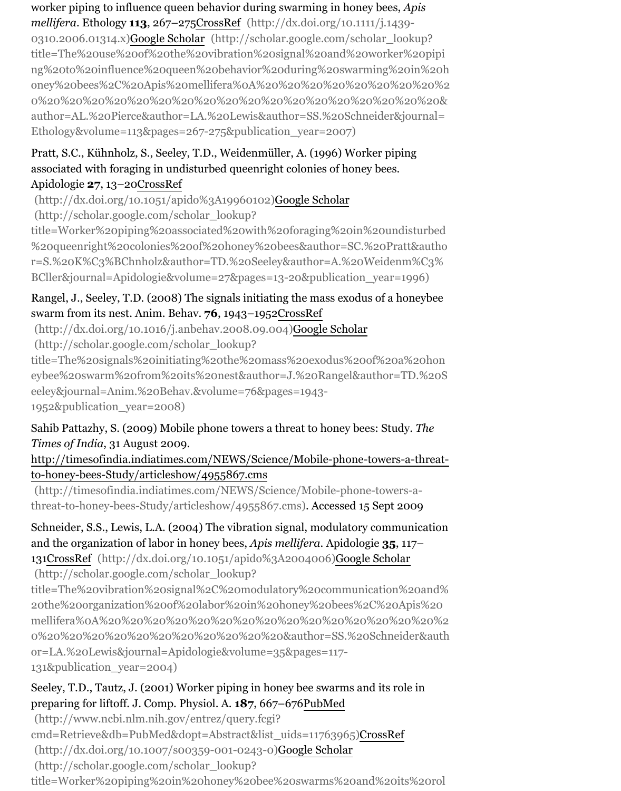author=AL.%20Pierce&author=LA.%20Lewis&author=SS.%20Schneider&journal= [Ethology&volume=113&pages=267-275&publication\\_year=2007\)](http://dx.doi.org/10.1111/j.1439-0310.2006.01314.x)

#### Pratt, S.C., Kühnholz, S., Seeley, T.D., Weidenmüller, A. (1996) Worker piping associated with foraging in undisturbed queenright colonies of honey bees. Apidologie **27**, 13–20CrossRef

(http://dx.doi.org/10.1051/apido%3A19960102)Google Scholar (http://scholar.google.com/scholar\_lookup?

[title=Worker%20piping%20associated%20with%20foraging%20in%20undisturbed](http://scholar.google.com/scholar_lookup?title=The%20use%20of%20the%20vibration%20signal%20and%20worker%20piping%20to%20influence%20queen%20behavior%20during%20swarming%20in%20honey%20bees%2C%20Apis%20mellifera%0A%20%20%20%20%20%20%20%20%20%20%20%20%20%20%20%20%20%20%20%20%20%20%20%20%20%20%20&author=AL.%20Pierce&author=LA.%20Lewis&author=SS.%20Schneider&journal=Ethology&volume=113&pages=267-275&publication_year=2007) %20queenright%20colonies%20of%20honey%20bees&author=SC.%20Pratt&autho r=S.%20K%C3%BChnholz&author=TD.%20Seeley&author=A.%20Weidenm%C3% BCller&journal=Apidologie&volume=27&pages=13-20&publication\_year=1996)

#### [Rangel, J., Seeley, T.D. \(2008\) The signals initiati](http://dx.doi.org/10.1051/apido%3A19960102)ng the mass exodus of a honeybee swarm from its nest. Anim. Behav. **76**, 1943–1952CrossRef

(http://dx.doi.org/10.1016/j.anbehav.2008.09.004)Google Scholar (http://scholar.google.com/scholar\_lookup?

title=The%20signals%20initiating%20the%20mass%20exodus%20of%20a%20hon [eybee%20swarm%20from%20its%20nest&author=J.%20Rangel&author=TD.%20S](http://scholar.google.com/scholar_lookup?title=Worker%20piping%20associated%20with%20foraging%20in%20undisturbed%20queenright%20colonies%20of%20honey%20bees&author=SC.%20Pratt&author=S.%20K%C3%BChnholz&author=TD.%20Seeley&author=A.%20Weidenm%C3%BCller&journal=Apidologie&volume=27&pages=13-20&publication_year=1996) eeley&journal=Anim.%20Behav.&volume=76&pages=1943- 1952&publication\_year=2008)

[Sahib Pattazhy, S. \(2009\) Mobile phone towers a threat to h](http://dx.doi.org/10.1016/j.anbehav.2008.09.004)oney bees: Study. *The Times of India*, 31 August 2009.

[http://timesofindia.indiatimes.com/NEWS/Science/Mobile-phone-towers-a-threat](http://scholar.google.com/scholar_lookup?title=The%20signals%20initiating%20the%20mass%20exodus%20of%20a%20honeybee%20swarm%20from%20its%20nest&author=J.%20Rangel&author=TD.%20Seeley&journal=Anim.%20Behav.&volume=76&pages=1943-1952&publication_year=2008)to-honey-bees-Study/articleshow/4955867.cms

(http://timesofindia.indiatimes.com/NEWS/Science/Mobile-phone-towers-athreat-to-honey-bees-Study/articleshow/4955867.cms). Accessed 15 Sept 2009

Schneider, S.S., Lewis, L.A. (2004) The vibration signal, modulatory communication and the organization of labor in honey bees, *Apis mellifera*. Apidologie **35**, 117– 131CrossRef (http://dx.doi.org/10.1051/apido%3A2004006)Google Scholar (http://scholar.google.com/scholar\_lookup?

[title=The%20vibration%20signal%2C%20modulatory%20communication%20and%](http://timesofindia.indiatimes.com/NEWS/Science/Mobile-phone-towers-a-threat-to-honey-bees-Study/articleshow/4955867.cms) 20the%20organization%20of%20labor%20in%20honey%20bees%2C%20Apis%20 mellifera%0A%20%20%20%20%20%20%20%20%20%20%20%20%20%20%20%2 0%20%20%20%20%20%20%20%20%20%20%20&author=SS.%20Schneider&auth or=LA.%20Lewis&journal=Apidologie&volume=35&pages=117- 13[1&publication\\_year=2004\)](http://dx.doi.org/10.1051/apido%3A2004006)

#### [Seeley, T.D., Tautz, J. \(2001\) Worker piping in honey bee swarms and its role in](http://scholar.google.com/scholar_lookup?title=The%20vibration%20signal%2C%20modulatory%20communication%20and%20the%20organization%20of%20labor%20in%20honey%20bees%2C%20Apis%20mellifera%0A%20%20%20%20%20%20%20%20%20%20%20%20%20%20%20%20%20%20%20%20%20%20%20%20%20%20%20&author=SS.%20Schneider&author=LA.%20Lewis&journal=Apidologie&volume=35&pages=117-131&publication_year=2004) preparing for liftoff. J. Comp. Physiol. A. **187**, 667–676PubMed

(http://www.ncbi.nlm.nih.gov/entrez/query.fcgi? cmd=Retrieve&db=PubMed&dopt=Abstract&list\_uids=11763965)CrossRef (http://dx.doi.org/10.1007/s00359-001-0243-0)Google Scholar (http://scholar.google.com/scholar\_lookup? title=Worker%20piping%20in%20honey%20bee%20swarms%20and%20its%20rol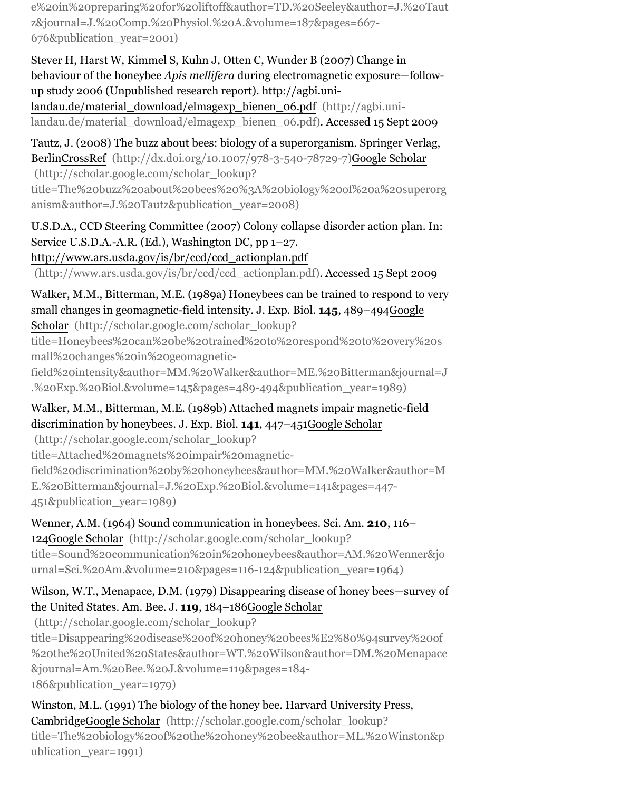landau.de/material\_download/elmagexp\_bienen\_06.pdf (http://agbi.unilandau.de/material\_download/elmagexp\_bienen\_06.pdf). Accessed 15 Sept 2009

[Tautz, J. \(2008\) The buzz about bees: biology of a superorganism. Springer Verlag,](http://scholar.google.com/scholar_lookup?title=Worker%20piping%20in%20honey%20bee%20swarms%20and%20its%20role%20in%20preparing%20for%20liftoff&author=TD.%20Seeley&author=J.%20Tautz&journal=J.%20Comp.%20Physiol.%20A.&volume=187&pages=667-676&publication_year=2001) BerlinCrossRef (http://dx.doi.org/10.1007/978-3-540-78729-7)Google Scholar (http://scholar.google.com/scholar\_lookup?

title=The%20buzz%20about%20bees%20%3A%20biology%20of%20a%20superorg anism&author=J.%20Tautz&publication\_year=2008)

#### [U.S.D.A., CCD Steering Committee \(2007\) Colony collapse disorder action p](http://agbi.uni-landau.de/material_download/elmagexp_bienen_06.pdf)lan. In: Service U.S.D.A.-A.R. (Ed.), Washington DC, pp 1–27. http://www.ars.usda.gov/is/br/ccd/ccd\_actionplan.pdf

(http[://www.ars.usda.gov/is/br/ccd/ccd\\_actionplan.pdf\). Acces](http://dx.doi.org/10.1007/978-3-540-78729-7)sed 15 Sept 2009

[Walker, M.M., Bitterman, M.E. \(1989a\) Honeybees can be trained to respond to very](http://scholar.google.com/scholar_lookup?title=The%20buzz%20about%20bees%20%3A%20biology%20of%20a%20superorganism&author=J.%20Tautz&publication_year=2008) small changes in geomagnetic-field intensity. J. Exp. Biol. **145**, 489–494Google

Scholar (http://scholar.google.com/scholar\_lookup? title=Honeybees%20can%20be%20trained%20to%20respond%20to%20very%20s

mall%20changes%20in%20geomagnetic-

[field%20intensity&author=MM.%20Walker&author=ME.%](http://www.ars.usda.gov/is/br/ccd/ccd_actionplan.pdf)20Bitterman&journal=J .%20Exp.%20Biol.&volume=145&pages=489-494&publication\_year=1989)

#### Walker, M.M., Bitterman, M.E. (1989b) Attached magnets impair magnetic-field discrimination by honeybees. J. Exp. Biol. **141**, 447–451Google Scholar

(http://scholar.google.com/scholar\_lookup? title=Attached%20magnets%20impair%20magnetic[field%20discrimination%20by%20honeybees&author=MM.%20Walker&author=M](http://scholar.google.com/scholar_lookup?title=Honeybees%20can%20be%20trained%20to%20respond%20to%20very%20small%20changes%20in%20geomagnetic-field%20intensity&author=MM.%20Walker&author=ME.%20Bitterman&journal=J.%20Exp.%20Biol.&volume=145&pages=489-494&publication_year=1989) E.%20Bitterman&journal=J.%20Exp.%20Biol.&volume=141&pages=447- 451&publication\_year=1989)

#### Wenner, A.M. (1964) Sound communication in honeybees. Sci. Am. **210**, 116– 124Google Scholar (http://scholar.google.com/scholar\_lookup? title=Sound%20communication%20in%20honeybees&author=AM.%20Wenner&jo urnal=Sci.%20Am.&volume=210&pages=116-124&publication\_year=1964)

#### [Wilson, W.T., Menapace, D.M. \(1979\) Disappearing disease of honey bees—survey of](http://scholar.google.com/scholar_lookup?title=Attached%20magnets%20impair%20magnetic-field%20discrimination%20by%20honeybees&author=MM.%20Walker&author=ME.%20Bitterman&journal=J.%20Exp.%20Biol.&volume=141&pages=447-451&publication_year=1989) the United States. Am. Bee. J. **119**, 184–186Google Scholar

(http://scholar.google.com/scholar\_lookup? title=Disappearing%20disease%20of%20honey%20bees%E2%80%94survey%20of [%20the%20United%20States&author=WT.%20Wilson&author=DM.%20Menapace](http://scholar.google.com/scholar_lookup?title=Sound%20communication%20in%20honeybees&author=AM.%20Wenner&journal=Sci.%20Am.&volume=210&pages=116-124&publication_year=1964) &journal=Am.%20Bee.%20J.&volume=119&pages=184- 186&publication\_year=1979)

Winston, M.L. (1991) The biology of the honey bee. Harvard University Press, CambridgeGoogle Scholar (http://scholar.google.com/scholar\_lookup? [title=The%20biology%20of%20the%20honey%20bee&author=ML.%20Winston&p](http://scholar.google.com/scholar_lookup?title=Disappearing%20disease%20of%20honey%20bees%E2%80%94survey%20of%20the%20United%20States&author=WT.%20Wilson&author=DM.%20Menapace&journal=Am.%20Bee.%20J.&volume=119&pages=184-186&publication_year=1979) ublication year=1991)